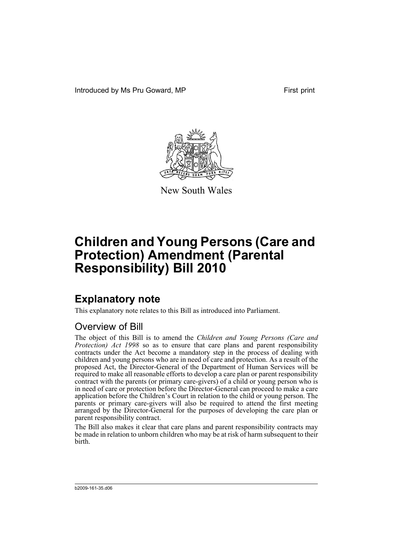Introduced by Ms Pru Goward, MP First print



New South Wales

# **Children and Young Persons (Care and Protection) Amendment (Parental Responsibility) Bill 2010**

## **Explanatory note**

This explanatory note relates to this Bill as introduced into Parliament.

## Overview of Bill

The object of this Bill is to amend the *Children and Young Persons (Care and Protection) Act 1998* so as to ensure that care plans and parent responsibility contracts under the Act become a mandatory step in the process of dealing with children and young persons who are in need of care and protection. As a result of the proposed Act, the Director-General of the Department of Human Services will be required to make all reasonable efforts to develop a care plan or parent responsibility contract with the parents (or primary care-givers) of a child or young person who is in need of care or protection before the Director-General can proceed to make a care application before the Children's Court in relation to the child or young person. The parents or primary care-givers will also be required to attend the first meeting arranged by the Director-General for the purposes of developing the care plan or parent responsibility contract.

The Bill also makes it clear that care plans and parent responsibility contracts may be made in relation to unborn children who may be at risk of harm subsequent to their birth.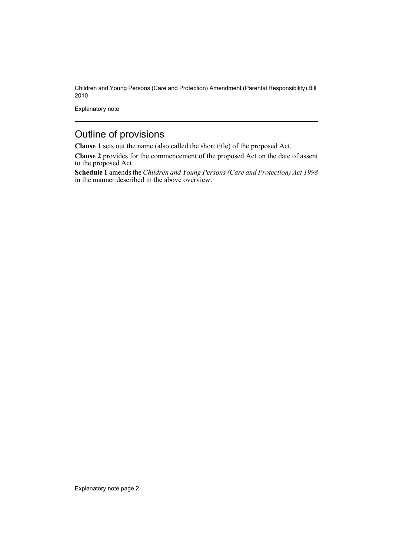Children and Young Persons (Care and Protection) Amendment (Parental Responsibility) Bill 2010

Explanatory note

## Outline of provisions

**Clause 1** sets out the name (also called the short title) of the proposed Act.

**Clause 2** provides for the commencement of the proposed Act on the date of assent to the proposed Act.

**Schedule 1** amends the *Children and Young Persons (Care and Protection) Act 1998* in the manner described in the above overview.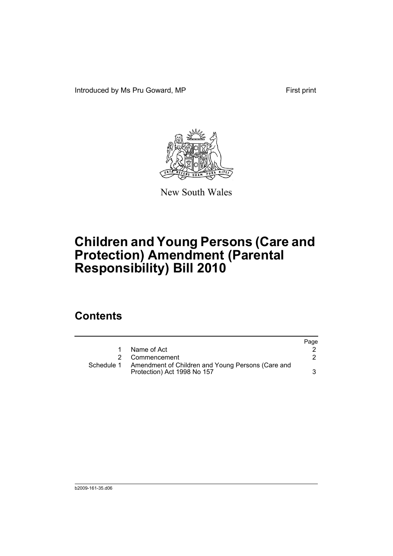Introduced by Ms Pru Goward, MP First print



New South Wales

# **Children and Young Persons (Care and Protection) Amendment (Parental Responsibility) Bill 2010**

## **Contents**

|            |                                                                                  | Page |
|------------|----------------------------------------------------------------------------------|------|
|            | Name of Act                                                                      |      |
|            | 2 Commencement                                                                   |      |
| Schedule 1 | Amendment of Children and Young Persons (Care and<br>Protection) Act 1998 No 157 |      |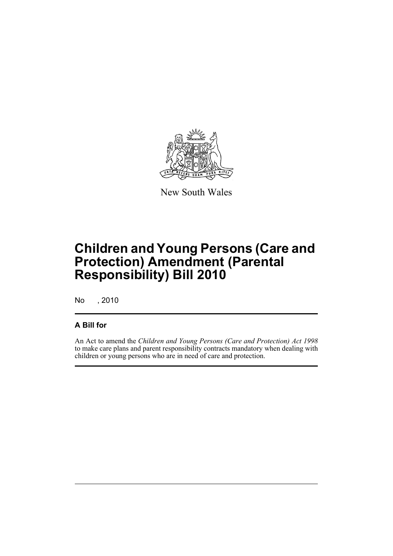

New South Wales

# **Children and Young Persons (Care and Protection) Amendment (Parental Responsibility) Bill 2010**

No , 2010

### **A Bill for**

An Act to amend the *Children and Young Persons (Care and Protection) Act 1998* to make care plans and parent responsibility contracts mandatory when dealing with children or young persons who are in need of care and protection.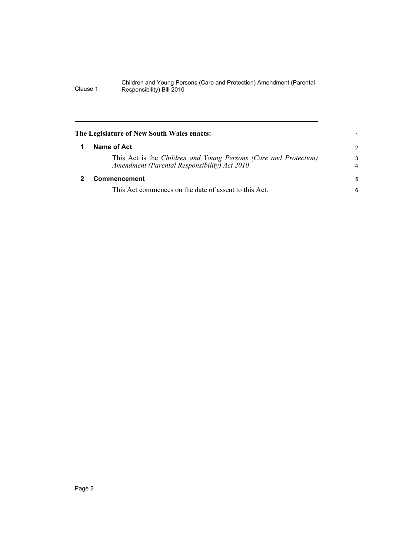#### Children and Young Persons (Care and Protection) Amendment (Parental Clause 1 Responsibility) Bill 2010

<span id="page-5-1"></span><span id="page-5-0"></span>

| $\mathcal{P}$       |
|---------------------|
| 3<br>$\overline{4}$ |
| 5                   |
| 6                   |
|                     |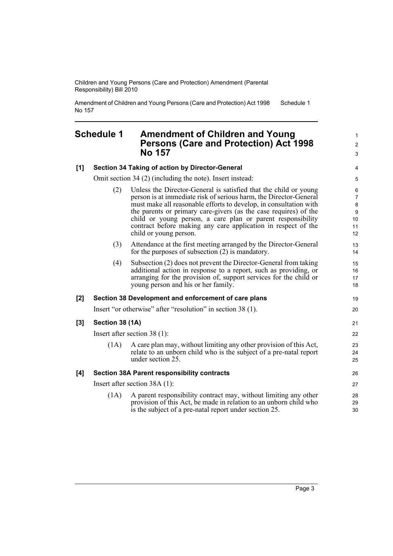Children and Young Persons (Care and Protection) Amendment (Parental Responsibility) Bill 2010

Amendment of Children and Young Persons (Care and Protection) Act 1998 No 157 Schedule 1

### <span id="page-6-0"></span>**Schedule 1 Amendment of Children and Young Persons (Care and Protection) Act 1998 No 157**

### **[1] Section 34 Taking of action by Director-General**

Omit section 34 (2) (including the note). Insert instead:

- (2) Unless the Director-General is satisfied that the child or young person is at immediate risk of serious harm, the Director-General must make all reasonable efforts to develop, in consultation with the parents or primary care-givers (as the case requires) of the child or young person, a care plan or parent responsibility contract before making any care application in respect of the child or young person.
- (3) Attendance at the first meeting arranged by the Director-General for the purposes of subsection (2) is mandatory.
- (4) Subsection (2) does not prevent the Director-General from taking additional action in response to a report, such as providing, or arranging for the provision of, support services for the child or young person and his or her family.

### **[2] Section 38 Development and enforcement of care plans**

Insert "or otherwise" after "resolution" in section 38 (1).

#### **[3] Section 38 (1A)**

Insert after section 38 (1):

(1A) A care plan may, without limiting any other provision of this Act, relate to an unborn child who is the subject of a pre-natal report under section 25.

#### **[4] Section 38A Parent responsibility contracts**

Insert after section 38A (1):

(1A) A parent responsibility contract may, without limiting any other provision of this Act, be made in relation to an unborn child who is the subject of a pre-natal report under section 25.

1  $\mathfrak{p}$ 3

19 20